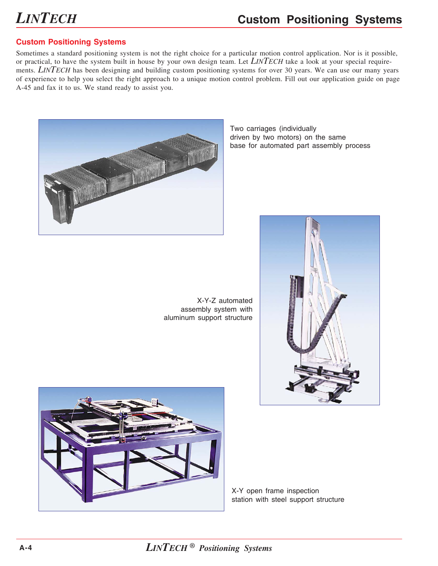# *LINTECH*

#### **Custom Positioning Systems**

#### **Custom Positioning Systems**

Sometimes a standard positioning system is not the right choice for a particular motion control application. Nor is it possible, or practical, to have the system built in house by your own design team. Let *LINTECH* take a look at your special requirements. *LINTECH* has been designing and building custom positioning systems for over 30 years. We can use our many years of experience to help you select the right approach to a unique motion control problem. Fill out our application guide on page A-45 and fax it to us. We stand ready to assist you.



Two carriages (individually driven by two motors) on the same base for automated part assembly process

X-Y-Z automated assembly system with aluminum support structure





X-Y open frame inspection station with steel support structure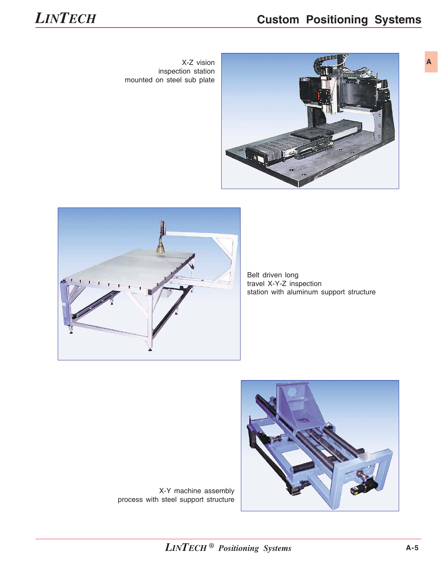### **Custom Positioning Systems**





**A**

X-Z vision inspection station mounted on steel sub plate





Belt driven long travel X-Y-Z inspection station with aluminum support structure



X-Y machine assembly process with steel support structure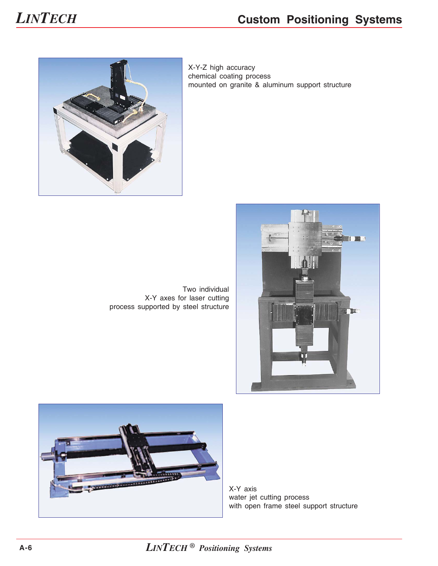# *LINTECH*

### **Custom Positioning Systems**





Two individual X-Y axes for laser cutting process supported by steel structure





X-Y axis water jet cutting process with open frame steel support structure